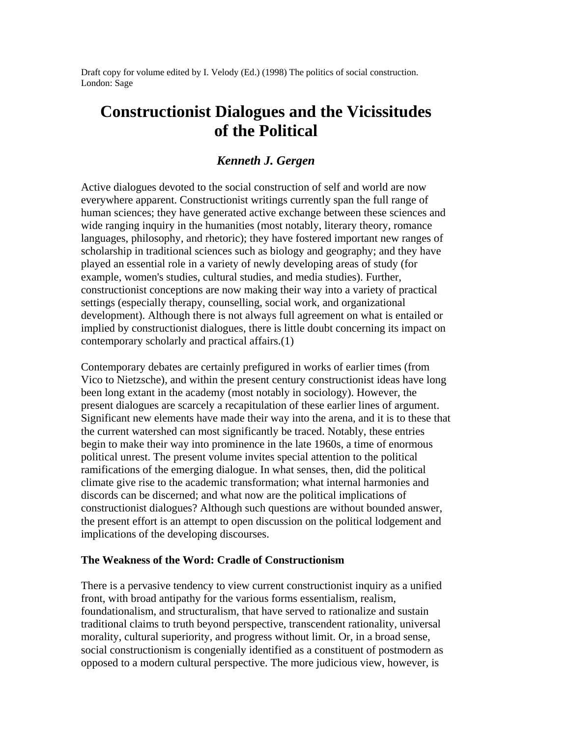Draft copy for volume edited by I. Velody (Ed.) (1998) The politics of social construction. London: Sage

# **Constructionist Dialogues and the Vicissitudes of the Political**

## *Kenneth J. Gergen*

Active dialogues devoted to the social construction of self and world are now everywhere apparent. Constructionist writings currently span the full range of human sciences; they have generated active exchange between these sciences and wide ranging inquiry in the humanities (most notably, literary theory, romance languages, philosophy, and rhetoric); they have fostered important new ranges of scholarship in traditional sciences such as biology and geography; and they have played an essential role in a variety of newly developing areas of study (for example, women's studies, cultural studies, and media studies). Further, constructionist conceptions are now making their way into a variety of practical settings (especially therapy, counselling, social work, and organizational development). Although there is not always full agreement on what is entailed or implied by constructionist dialogues, there is little doubt concerning its impact on contemporary scholarly and practical affairs.(1)

Contemporary debates are certainly prefigured in works of earlier times (from Vico to Nietzsche), and within the present century constructionist ideas have long been long extant in the academy (most notably in sociology). However, the present dialogues are scarcely a recapitulation of these earlier lines of argument. Significant new elements have made their way into the arena, and it is to these that the current watershed can most significantly be traced. Notably, these entries begin to make their way into prominence in the late 1960s, a time of enormous political unrest. The present volume invites special attention to the political ramifications of the emerging dialogue. In what senses, then, did the political climate give rise to the academic transformation; what internal harmonies and discords can be discerned; and what now are the political implications of constructionist dialogues? Although such questions are without bounded answer, the present effort is an attempt to open discussion on the political lodgement and implications of the developing discourses.

## **The Weakness of the Word: Cradle of Constructionism**

There is a pervasive tendency to view current constructionist inquiry as a unified front, with broad antipathy for the various forms essentialism, realism, foundationalism, and structuralism, that have served to rationalize and sustain traditional claims to truth beyond perspective, transcendent rationality, universal morality, cultural superiority, and progress without limit. Or, in a broad sense, social constructionism is congenially identified as a constituent of postmodern as opposed to a modern cultural perspective. The more judicious view, however, is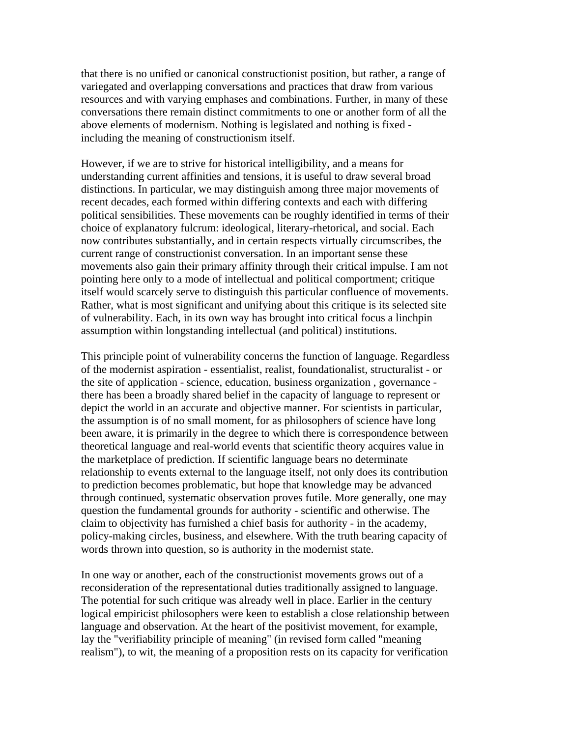that there is no unified or canonical constructionist position, but rather, a range of variegated and overlapping conversations and practices that draw from various resources and with varying emphases and combinations. Further, in many of these conversations there remain distinct commitments to one or another form of all the above elements of modernism. Nothing is legislated and nothing is fixed including the meaning of constructionism itself.

However, if we are to strive for historical intelligibility, and a means for understanding current affinities and tensions, it is useful to draw several broad distinctions. In particular, we may distinguish among three major movements of recent decades, each formed within differing contexts and each with differing political sensibilities. These movements can be roughly identified in terms of their choice of explanatory fulcrum: ideological, literary-rhetorical, and social. Each now contributes substantially, and in certain respects virtually circumscribes, the current range of constructionist conversation. In an important sense these movements also gain their primary affinity through their critical impulse. I am not pointing here only to a mode of intellectual and political comportment; critique itself would scarcely serve to distinguish this particular confluence of movements. Rather, what is most significant and unifying about this critique is its selected site of vulnerability. Each, in its own way has brought into critical focus a linchpin assumption within longstanding intellectual (and political) institutions.

This principle point of vulnerability concerns the function of language. Regardless of the modernist aspiration - essentialist, realist, foundationalist, structuralist - or the site of application - science, education, business organization , governance there has been a broadly shared belief in the capacity of language to represent or depict the world in an accurate and objective manner. For scientists in particular, the assumption is of no small moment, for as philosophers of science have long been aware, it is primarily in the degree to which there is correspondence between theoretical language and real-world events that scientific theory acquires value in the marketplace of prediction. If scientific language bears no determinate relationship to events external to the language itself, not only does its contribution to prediction becomes problematic, but hope that knowledge may be advanced through continued, systematic observation proves futile. More generally, one may question the fundamental grounds for authority - scientific and otherwise. The claim to objectivity has furnished a chief basis for authority - in the academy, policy-making circles, business, and elsewhere. With the truth bearing capacity of words thrown into question, so is authority in the modernist state.

In one way or another, each of the constructionist movements grows out of a reconsideration of the representational duties traditionally assigned to language. The potential for such critique was already well in place. Earlier in the century logical empiricist philosophers were keen to establish a close relationship between language and observation. At the heart of the positivist movement, for example, lay the "verifiability principle of meaning" (in revised form called "meaning realism"), to wit, the meaning of a proposition rests on its capacity for verification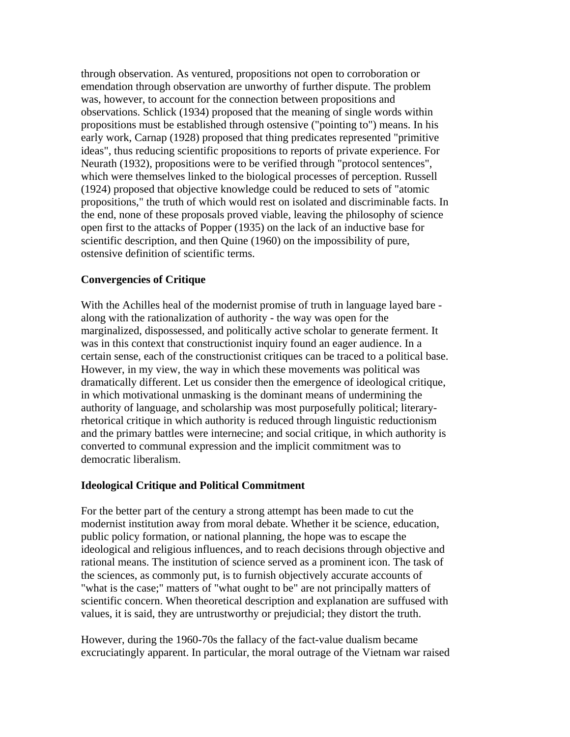through observation. As ventured, propositions not open to corroboration or emendation through observation are unworthy of further dispute. The problem was, however, to account for the connection between propositions and observations. Schlick (1934) proposed that the meaning of single words within propositions must be established through ostensive ("pointing to") means. In his early work, Carnap (1928) proposed that thing predicates represented "primitive ideas", thus reducing scientific propositions to reports of private experience. For Neurath (1932), propositions were to be verified through "protocol sentences", which were themselves linked to the biological processes of perception. Russell (1924) proposed that objective knowledge could be reduced to sets of "atomic propositions," the truth of which would rest on isolated and discriminable facts. In the end, none of these proposals proved viable, leaving the philosophy of science open first to the attacks of Popper (1935) on the lack of an inductive base for scientific description, and then Quine (1960) on the impossibility of pure, ostensive definition of scientific terms.

## **Convergencies of Critique**

With the Achilles heal of the modernist promise of truth in language layed bare along with the rationalization of authority - the way was open for the marginalized, dispossessed, and politically active scholar to generate ferment. It was in this context that constructionist inquiry found an eager audience. In a certain sense, each of the constructionist critiques can be traced to a political base. However, in my view, the way in which these movements was political was dramatically different. Let us consider then the emergence of ideological critique, in which motivational unmasking is the dominant means of undermining the authority of language, and scholarship was most purposefully political; literaryrhetorical critique in which authority is reduced through linguistic reductionism and the primary battles were internecine; and social critique, in which authority is converted to communal expression and the implicit commitment was to democratic liberalism.

#### **Ideological Critique and Political Commitment**

For the better part of the century a strong attempt has been made to cut the modernist institution away from moral debate. Whether it be science, education, public policy formation, or national planning, the hope was to escape the ideological and religious influences, and to reach decisions through objective and rational means. The institution of science served as a prominent icon. The task of the sciences, as commonly put, is to furnish objectively accurate accounts of "what is the case;" matters of "what ought to be" are not principally matters of scientific concern. When theoretical description and explanation are suffused with values, it is said, they are untrustworthy or prejudicial; they distort the truth.

However, during the 1960-70s the fallacy of the fact-value dualism became excruciatingly apparent. In particular, the moral outrage of the Vietnam war raised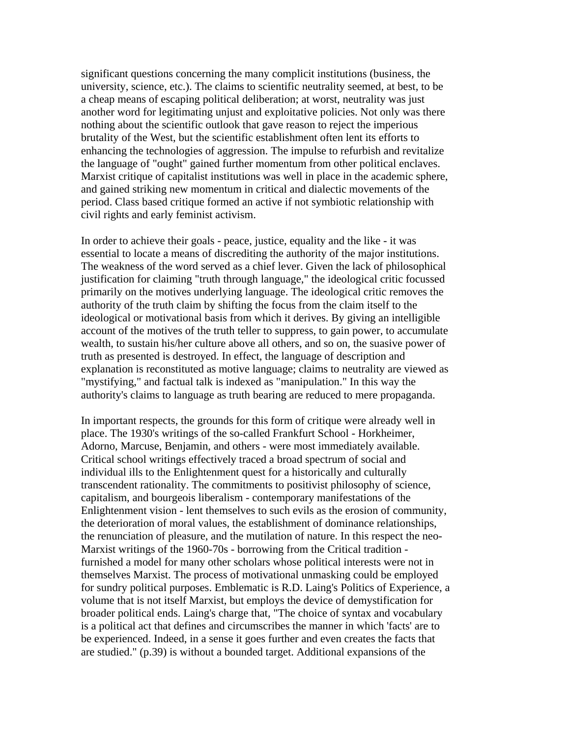significant questions concerning the many complicit institutions (business, the university, science, etc.). The claims to scientific neutrality seemed, at best, to be a cheap means of escaping political deliberation; at worst, neutrality was just another word for legitimating unjust and exploitative policies. Not only was there nothing about the scientific outlook that gave reason to reject the imperious brutality of the West, but the scientific establishment often lent its efforts to enhancing the technologies of aggression. The impulse to refurbish and revitalize the language of "ought" gained further momentum from other political enclaves. Marxist critique of capitalist institutions was well in place in the academic sphere, and gained striking new momentum in critical and dialectic movements of the period. Class based critique formed an active if not symbiotic relationship with civil rights and early feminist activism.

In order to achieve their goals - peace, justice, equality and the like - it was essential to locate a means of discrediting the authority of the major institutions. The weakness of the word served as a chief lever. Given the lack of philosophical justification for claiming "truth through language," the ideological critic focussed primarily on the motives underlying language. The ideological critic removes the authority of the truth claim by shifting the focus from the claim itself to the ideological or motivational basis from which it derives. By giving an intelligible account of the motives of the truth teller to suppress, to gain power, to accumulate wealth, to sustain his/her culture above all others, and so on, the suasive power of truth as presented is destroyed. In effect, the language of description and explanation is reconstituted as motive language; claims to neutrality are viewed as "mystifying," and factual talk is indexed as "manipulation." In this way the authority's claims to language as truth bearing are reduced to mere propaganda.

In important respects, the grounds for this form of critique were already well in place. The 1930's writings of the so-called Frankfurt School - Horkheimer, Adorno, Marcuse, Benjamin, and others - were most immediately available. Critical school writings effectively traced a broad spectrum of social and individual ills to the Enlightenment quest for a historically and culturally transcendent rationality. The commitments to positivist philosophy of science, capitalism, and bourgeois liberalism - contemporary manifestations of the Enlightenment vision - lent themselves to such evils as the erosion of community, the deterioration of moral values, the establishment of dominance relationships, the renunciation of pleasure, and the mutilation of nature. In this respect the neo-Marxist writings of the 1960-70s - borrowing from the Critical tradition furnished a model for many other scholars whose political interests were not in themselves Marxist. The process of motivational unmasking could be employed for sundry political purposes. Emblematic is R.D. Laing's Politics of Experience, a volume that is not itself Marxist, but employs the device of demystification for broader political ends. Laing's charge that, "The choice of syntax and vocabulary is a political act that defines and circumscribes the manner in which 'facts' are to be experienced. Indeed, in a sense it goes further and even creates the facts that are studied." (p.39) is without a bounded target. Additional expansions of the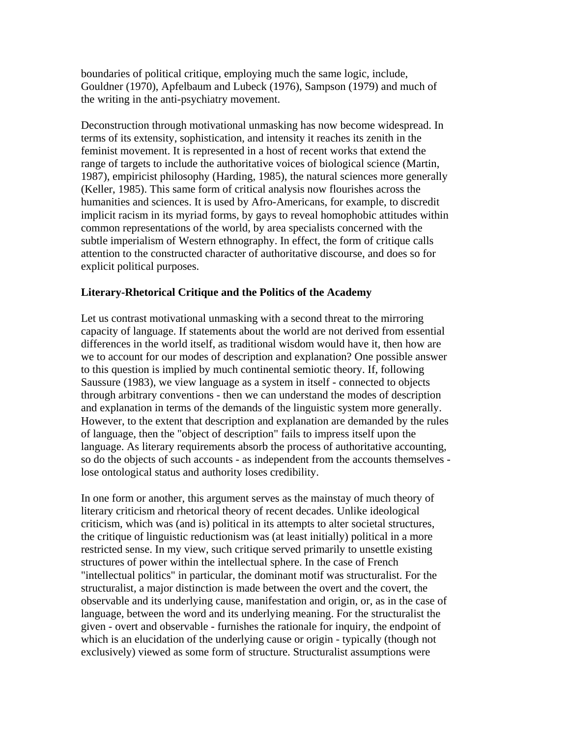boundaries of political critique, employing much the same logic, include, Gouldner (1970), Apfelbaum and Lubeck (1976), Sampson (1979) and much of the writing in the anti-psychiatry movement.

Deconstruction through motivational unmasking has now become widespread. In terms of its extensity, sophistication, and intensity it reaches its zenith in the feminist movement. It is represented in a host of recent works that extend the range of targets to include the authoritative voices of biological science (Martin, 1987), empiricist philosophy (Harding, 1985), the natural sciences more generally (Keller, 1985). This same form of critical analysis now flourishes across the humanities and sciences. It is used by Afro-Americans, for example, to discredit implicit racism in its myriad forms, by gays to reveal homophobic attitudes within common representations of the world, by area specialists concerned with the subtle imperialism of Western ethnography. In effect, the form of critique calls attention to the constructed character of authoritative discourse, and does so for explicit political purposes.

## **Literary-Rhetorical Critique and the Politics of the Academy**

Let us contrast motivational unmasking with a second threat to the mirroring capacity of language. If statements about the world are not derived from essential differences in the world itself, as traditional wisdom would have it, then how are we to account for our modes of description and explanation? One possible answer to this question is implied by much continental semiotic theory. If, following Saussure (1983), we view language as a system in itself - connected to objects through arbitrary conventions - then we can understand the modes of description and explanation in terms of the demands of the linguistic system more generally. However, to the extent that description and explanation are demanded by the rules of language, then the "object of description" fails to impress itself upon the language. As literary requirements absorb the process of authoritative accounting, so do the objects of such accounts - as independent from the accounts themselves lose ontological status and authority loses credibility.

In one form or another, this argument serves as the mainstay of much theory of literary criticism and rhetorical theory of recent decades. Unlike ideological criticism, which was (and is) political in its attempts to alter societal structures, the critique of linguistic reductionism was (at least initially) political in a more restricted sense. In my view, such critique served primarily to unsettle existing structures of power within the intellectual sphere. In the case of French "intellectual politics" in particular, the dominant motif was structuralist. For the structuralist, a major distinction is made between the overt and the covert, the observable and its underlying cause, manifestation and origin, or, as in the case of language, between the word and its underlying meaning. For the structuralist the given - overt and observable - furnishes the rationale for inquiry, the endpoint of which is an elucidation of the underlying cause or origin - typically (though not exclusively) viewed as some form of structure. Structuralist assumptions were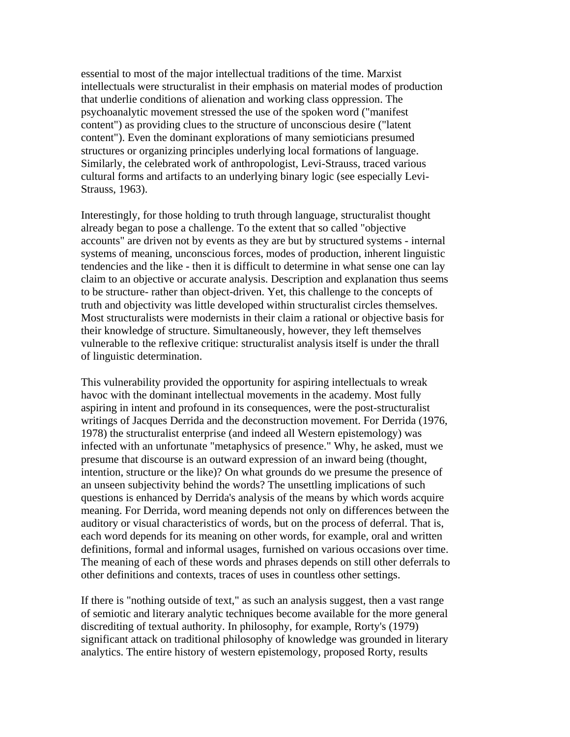essential to most of the major intellectual traditions of the time. Marxist intellectuals were structuralist in their emphasis on material modes of production that underlie conditions of alienation and working class oppression. The psychoanalytic movement stressed the use of the spoken word ("manifest content") as providing clues to the structure of unconscious desire ("latent content"). Even the dominant explorations of many semioticians presumed structures or organizing principles underlying local formations of language. Similarly, the celebrated work of anthropologist, Levi-Strauss, traced various cultural forms and artifacts to an underlying binary logic (see especially Levi-Strauss, 1963).

Interestingly, for those holding to truth through language, structuralist thought already began to pose a challenge. To the extent that so called "objective accounts" are driven not by events as they are but by structured systems - internal systems of meaning, unconscious forces, modes of production, inherent linguistic tendencies and the like - then it is difficult to determine in what sense one can lay claim to an objective or accurate analysis. Description and explanation thus seems to be structure- rather than object-driven. Yet, this challenge to the concepts of truth and objectivity was little developed within structuralist circles themselves. Most structuralists were modernists in their claim a rational or objective basis for their knowledge of structure. Simultaneously, however, they left themselves vulnerable to the reflexive critique: structuralist analysis itself is under the thrall of linguistic determination.

This vulnerability provided the opportunity for aspiring intellectuals to wreak havoc with the dominant intellectual movements in the academy. Most fully aspiring in intent and profound in its consequences, were the post-structuralist writings of Jacques Derrida and the deconstruction movement. For Derrida (1976, 1978) the structuralist enterprise (and indeed all Western epistemology) was infected with an unfortunate "metaphysics of presence." Why, he asked, must we presume that discourse is an outward expression of an inward being (thought, intention, structure or the like)? On what grounds do we presume the presence of an unseen subjectivity behind the words? The unsettling implications of such questions is enhanced by Derrida's analysis of the means by which words acquire meaning. For Derrida, word meaning depends not only on differences between the auditory or visual characteristics of words, but on the process of deferral. That is, each word depends for its meaning on other words, for example, oral and written definitions, formal and informal usages, furnished on various occasions over time. The meaning of each of these words and phrases depends on still other deferrals to other definitions and contexts, traces of uses in countless other settings.

If there is "nothing outside of text," as such an analysis suggest, then a vast range of semiotic and literary analytic techniques become available for the more general discrediting of textual authority. In philosophy, for example, Rorty's (1979) significant attack on traditional philosophy of knowledge was grounded in literary analytics. The entire history of western epistemology, proposed Rorty, results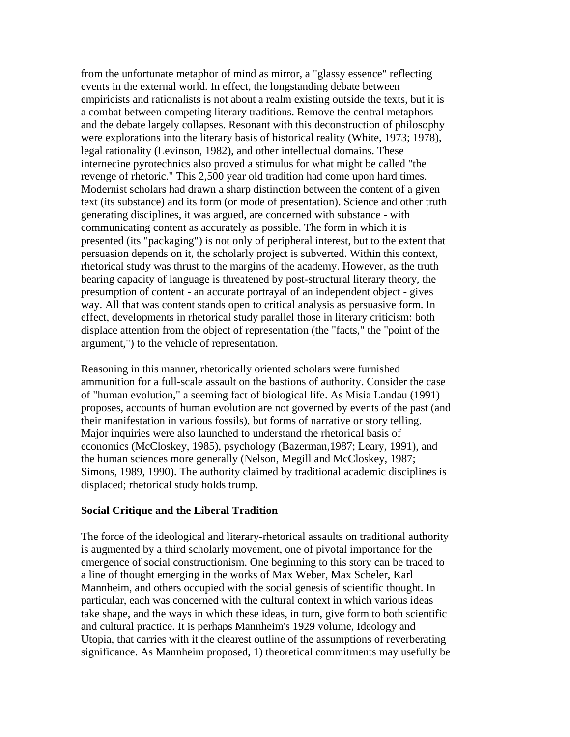from the unfortunate metaphor of mind as mirror, a "glassy essence" reflecting events in the external world. In effect, the longstanding debate between empiricists and rationalists is not about a realm existing outside the texts, but it is a combat between competing literary traditions. Remove the central metaphors and the debate largely collapses. Resonant with this deconstruction of philosophy were explorations into the literary basis of historical reality (White, 1973; 1978), legal rationality (Levinson, 1982), and other intellectual domains. These internecine pyrotechnics also proved a stimulus for what might be called "the revenge of rhetoric." This 2,500 year old tradition had come upon hard times. Modernist scholars had drawn a sharp distinction between the content of a given text (its substance) and its form (or mode of presentation). Science and other truth generating disciplines, it was argued, are concerned with substance - with communicating content as accurately as possible. The form in which it is presented (its "packaging") is not only of peripheral interest, but to the extent that persuasion depends on it, the scholarly project is subverted. Within this context, rhetorical study was thrust to the margins of the academy. However, as the truth bearing capacity of language is threatened by post-structural literary theory, the presumption of content - an accurate portrayal of an independent object - gives way. All that was content stands open to critical analysis as persuasive form. In effect, developments in rhetorical study parallel those in literary criticism: both displace attention from the object of representation (the "facts," the "point of the argument,") to the vehicle of representation.

Reasoning in this manner, rhetorically oriented scholars were furnished ammunition for a full-scale assault on the bastions of authority. Consider the case of "human evolution," a seeming fact of biological life. As Misia Landau (1991) proposes, accounts of human evolution are not governed by events of the past (and their manifestation in various fossils), but forms of narrative or story telling. Major inquiries were also launched to understand the rhetorical basis of economics (McCloskey, 1985), psychology (Bazerman,1987; Leary, 1991), and the human sciences more generally (Nelson, Megill and McCloskey, 1987; Simons, 1989, 1990). The authority claimed by traditional academic disciplines is displaced; rhetorical study holds trump.

#### **Social Critique and the Liberal Tradition**

The force of the ideological and literary-rhetorical assaults on traditional authority is augmented by a third scholarly movement, one of pivotal importance for the emergence of social constructionism. One beginning to this story can be traced to a line of thought emerging in the works of Max Weber, Max Scheler, Karl Mannheim, and others occupied with the social genesis of scientific thought. In particular, each was concerned with the cultural context in which various ideas take shape, and the ways in which these ideas, in turn, give form to both scientific and cultural practice. It is perhaps Mannheim's 1929 volume, Ideology and Utopia, that carries with it the clearest outline of the assumptions of reverberating significance. As Mannheim proposed, 1) theoretical commitments may usefully be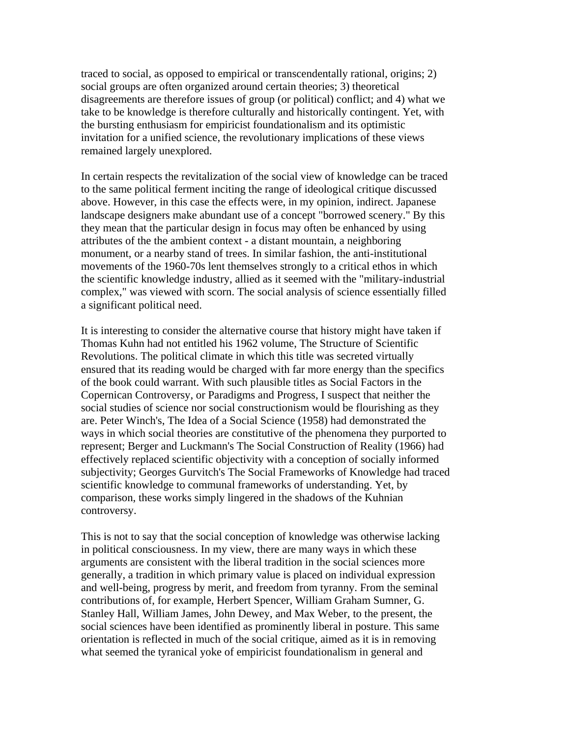traced to social, as opposed to empirical or transcendentally rational, origins; 2) social groups are often organized around certain theories; 3) theoretical disagreements are therefore issues of group (or political) conflict; and 4) what we take to be knowledge is therefore culturally and historically contingent. Yet, with the bursting enthusiasm for empiricist foundationalism and its optimistic invitation for a unified science, the revolutionary implications of these views remained largely unexplored.

In certain respects the revitalization of the social view of knowledge can be traced to the same political ferment inciting the range of ideological critique discussed above. However, in this case the effects were, in my opinion, indirect. Japanese landscape designers make abundant use of a concept "borrowed scenery." By this they mean that the particular design in focus may often be enhanced by using attributes of the the ambient context - a distant mountain, a neighboring monument, or a nearby stand of trees. In similar fashion, the anti-institutional movements of the 1960-70s lent themselves strongly to a critical ethos in which the scientific knowledge industry, allied as it seemed with the "military-industrial complex," was viewed with scorn. The social analysis of science essentially filled a significant political need.

It is interesting to consider the alternative course that history might have taken if Thomas Kuhn had not entitled his 1962 volume, The Structure of Scientific Revolutions. The political climate in which this title was secreted virtually ensured that its reading would be charged with far more energy than the specifics of the book could warrant. With such plausible titles as Social Factors in the Copernican Controversy, or Paradigms and Progress, I suspect that neither the social studies of science nor social constructionism would be flourishing as they are. Peter Winch's, The Idea of a Social Science (1958) had demonstrated the ways in which social theories are constitutive of the phenomena they purported to represent; Berger and Luckmann's The Social Construction of Reality (1966) had effectively replaced scientific objectivity with a conception of socially informed subjectivity; Georges Gurvitch's The Social Frameworks of Knowledge had traced scientific knowledge to communal frameworks of understanding. Yet, by comparison, these works simply lingered in the shadows of the Kuhnian controversy.

This is not to say that the social conception of knowledge was otherwise lacking in political consciousness. In my view, there are many ways in which these arguments are consistent with the liberal tradition in the social sciences more generally, a tradition in which primary value is placed on individual expression and well-being, progress by merit, and freedom from tyranny. From the seminal contributions of, for example, Herbert Spencer, William Graham Sumner, G. Stanley Hall, William James, John Dewey, and Max Weber, to the present, the social sciences have been identified as prominently liberal in posture. This same orientation is reflected in much of the social critique, aimed as it is in removing what seemed the tyranical yoke of empiricist foundationalism in general and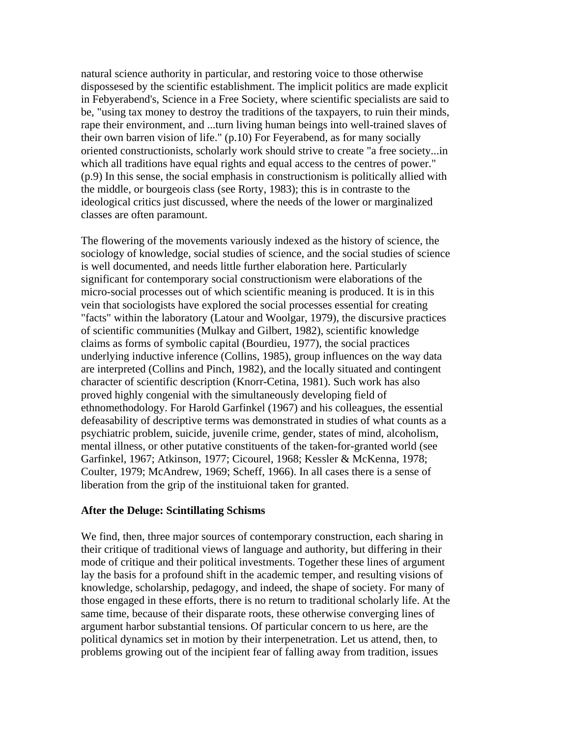natural science authority in particular, and restoring voice to those otherwise dispossesed by the scientific establishment. The implicit politics are made explicit in Febyerabend's, Science in a Free Society, where scientific specialists are said to be, "using tax money to destroy the traditions of the taxpayers, to ruin their minds, rape their environment, and ...turn living human beings into well-trained slaves of their own barren vision of life." (p.10) For Feyerabend, as for many socially oriented constructionists, scholarly work should strive to create "a free society...in which all traditions have equal rights and equal access to the centres of power." (p.9) In this sense, the social emphasis in constructionism is politically allied with the middle, or bourgeois class (see Rorty, 1983); this is in contraste to the ideological critics just discussed, where the needs of the lower or marginalized classes are often paramount.

The flowering of the movements variously indexed as the history of science, the sociology of knowledge, social studies of science, and the social studies of science is well documented, and needs little further elaboration here. Particularly significant for contemporary social constructionism were elaborations of the micro-social processes out of which scientific meaning is produced. It is in this vein that sociologists have explored the social processes essential for creating "facts" within the laboratory (Latour and Woolgar, 1979), the discursive practices of scientific communities (Mulkay and Gilbert, 1982), scientific knowledge claims as forms of symbolic capital (Bourdieu, 1977), the social practices underlying inductive inference (Collins, 1985), group influences on the way data are interpreted (Collins and Pinch, 1982), and the locally situated and contingent character of scientific description (Knorr-Cetina, 1981). Such work has also proved highly congenial with the simultaneously developing field of ethnomethodology. For Harold Garfinkel (1967) and his colleagues, the essential defeasability of descriptive terms was demonstrated in studies of what counts as a psychiatric problem, suicide, juvenile crime, gender, states of mind, alcoholism, mental illness, or other putative constituents of the taken-for-granted world (see Garfinkel, 1967; Atkinson, 1977; Cicourel, 1968; Kessler & McKenna, 1978; Coulter, 1979; McAndrew, 1969; Scheff, 1966). In all cases there is a sense of liberation from the grip of the instituional taken for granted.

## **After the Deluge: Scintillating Schisms**

We find, then, three major sources of contemporary construction, each sharing in their critique of traditional views of language and authority, but differing in their mode of critique and their political investments. Together these lines of argument lay the basis for a profound shift in the academic temper, and resulting visions of knowledge, scholarship, pedagogy, and indeed, the shape of society. For many of those engaged in these efforts, there is no return to traditional scholarly life. At the same time, because of their disparate roots, these otherwise converging lines of argument harbor substantial tensions. Of particular concern to us here, are the political dynamics set in motion by their interpenetration. Let us attend, then, to problems growing out of the incipient fear of falling away from tradition, issues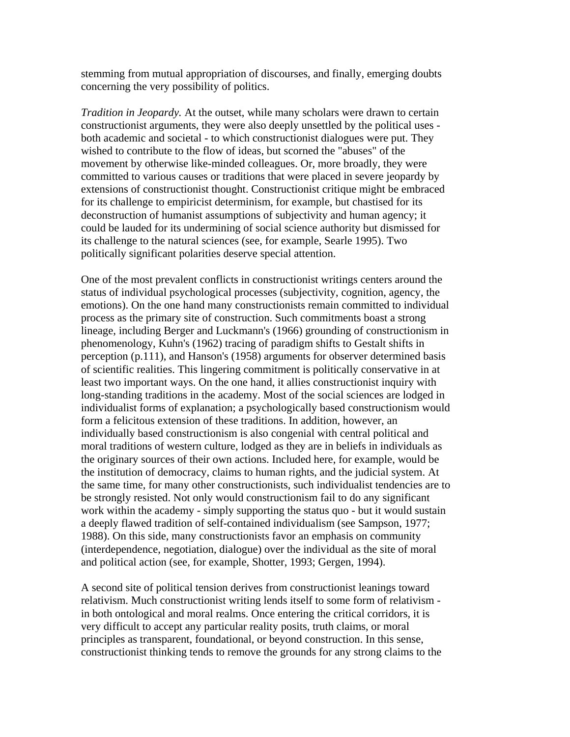stemming from mutual appropriation of discourses, and finally, emerging doubts concerning the very possibility of politics.

*Tradition in Jeopardy.* At the outset, while many scholars were drawn to certain constructionist arguments, they were also deeply unsettled by the political uses both academic and societal - to which constructionist dialogues were put. They wished to contribute to the flow of ideas, but scorned the "abuses" of the movement by otherwise like-minded colleagues. Or, more broadly, they were committed to various causes or traditions that were placed in severe jeopardy by extensions of constructionist thought. Constructionist critique might be embraced for its challenge to empiricist determinism, for example, but chastised for its deconstruction of humanist assumptions of subjectivity and human agency; it could be lauded for its undermining of social science authority but dismissed for its challenge to the natural sciences (see, for example, Searle 1995). Two politically significant polarities deserve special attention.

One of the most prevalent conflicts in constructionist writings centers around the status of individual psychological processes (subjectivity, cognition, agency, the emotions). On the one hand many constructionists remain committed to individual process as the primary site of construction. Such commitments boast a strong lineage, including Berger and Luckmann's (1966) grounding of constructionism in phenomenology, Kuhn's (1962) tracing of paradigm shifts to Gestalt shifts in perception (p.111), and Hanson's (1958) arguments for observer determined basis of scientific realities. This lingering commitment is politically conservative in at least two important ways. On the one hand, it allies constructionist inquiry with long-standing traditions in the academy. Most of the social sciences are lodged in individualist forms of explanation; a psychologically based constructionism would form a felicitous extension of these traditions. In addition, however, an individually based constructionism is also congenial with central political and moral traditions of western culture, lodged as they are in beliefs in individuals as the originary sources of their own actions. Included here, for example, would be the institution of democracy, claims to human rights, and the judicial system. At the same time, for many other constructionists, such individualist tendencies are to be strongly resisted. Not only would constructionism fail to do any significant work within the academy - simply supporting the status quo - but it would sustain a deeply flawed tradition of self-contained individualism (see Sampson, 1977; 1988). On this side, many constructionists favor an emphasis on community (interdependence, negotiation, dialogue) over the individual as the site of moral and political action (see, for example, Shotter, 1993; Gergen, 1994).

A second site of political tension derives from constructionist leanings toward relativism. Much constructionist writing lends itself to some form of relativism in both ontological and moral realms. Once entering the critical corridors, it is very difficult to accept any particular reality posits, truth claims, or moral principles as transparent, foundational, or beyond construction. In this sense, constructionist thinking tends to remove the grounds for any strong claims to the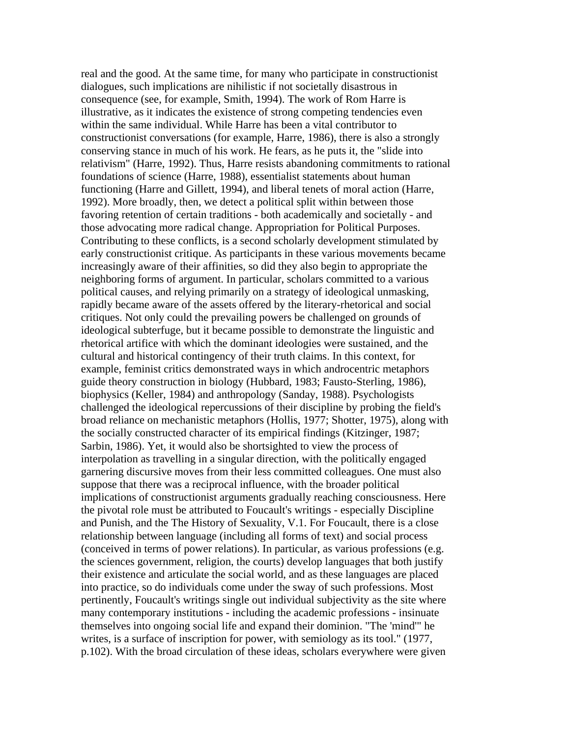real and the good. At the same time, for many who participate in constructionist dialogues, such implications are nihilistic if not societally disastrous in consequence (see, for example, Smith, 1994). The work of Rom Harre is illustrative, as it indicates the existence of strong competing tendencies even within the same individual. While Harre has been a vital contributor to constructionist conversations (for example, Harre, 1986), there is also a strongly conserving stance in much of his work. He fears, as he puts it, the "slide into relativism" (Harre, 1992). Thus, Harre resists abandoning commitments to rational foundations of science (Harre, 1988), essentialist statements about human functioning (Harre and Gillett, 1994), and liberal tenets of moral action (Harre, 1992). More broadly, then, we detect a political split within between those favoring retention of certain traditions - both academically and societally - and those advocating more radical change. Appropriation for Political Purposes. Contributing to these conflicts, is a second scholarly development stimulated by early constructionist critique. As participants in these various movements became increasingly aware of their affinities, so did they also begin to appropriate the neighboring forms of argument. In particular, scholars committed to a various political causes, and relying primarily on a strategy of ideological unmasking, rapidly became aware of the assets offered by the literary-rhetorical and social critiques. Not only could the prevailing powers be challenged on grounds of ideological subterfuge, but it became possible to demonstrate the linguistic and rhetorical artifice with which the dominant ideologies were sustained, and the cultural and historical contingency of their truth claims. In this context, for example, feminist critics demonstrated ways in which androcentric metaphors guide theory construction in biology (Hubbard, 1983; Fausto-Sterling, 1986), biophysics (Keller, 1984) and anthropology (Sanday, 1988). Psychologists challenged the ideological repercussions of their discipline by probing the field's broad reliance on mechanistic metaphors (Hollis, 1977; Shotter, 1975), along with the socially constructed character of its empirical findings (Kitzinger, 1987; Sarbin, 1986). Yet, it would also be shortsighted to view the process of interpolation as travelling in a singular direction, with the politically engaged garnering discursive moves from their less committed colleagues. One must also suppose that there was a reciprocal influence, with the broader political implications of constructionist arguments gradually reaching consciousness. Here the pivotal role must be attributed to Foucault's writings - especially Discipline and Punish, and the The History of Sexuality, V.1. For Foucault, there is a close relationship between language (including all forms of text) and social process (conceived in terms of power relations). In particular, as various professions (e.g. the sciences government, religion, the courts) develop languages that both justify their existence and articulate the social world, and as these languages are placed into practice, so do individuals come under the sway of such professions. Most pertinently, Foucault's writings single out individual subjectivity as the site where many contemporary institutions - including the academic professions - insinuate themselves into ongoing social life and expand their dominion. "The 'mind'" he writes, is a surface of inscription for power, with semiology as its tool." (1977, p.102). With the broad circulation of these ideas, scholars everywhere were given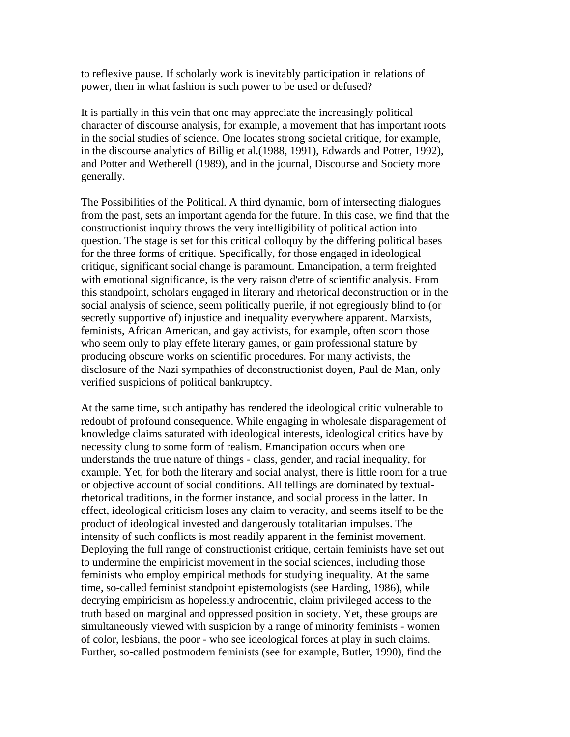to reflexive pause. If scholarly work is inevitably participation in relations of power, then in what fashion is such power to be used or defused?

It is partially in this vein that one may appreciate the increasingly political character of discourse analysis, for example, a movement that has important roots in the social studies of science. One locates strong societal critique, for example, in the discourse analytics of Billig et al.(1988, 1991), Edwards and Potter, 1992), and Potter and Wetherell (1989), and in the journal, Discourse and Society more generally.

The Possibilities of the Political. A third dynamic, born of intersecting dialogues from the past, sets an important agenda for the future. In this case, we find that the constructionist inquiry throws the very intelligibility of political action into question. The stage is set for this critical colloquy by the differing political bases for the three forms of critique. Specifically, for those engaged in ideological critique, significant social change is paramount. Emancipation, a term freighted with emotional significance, is the very raison d'etre of scientific analysis. From this standpoint, scholars engaged in literary and rhetorical deconstruction or in the social analysis of science, seem politically puerile, if not egregiously blind to (or secretly supportive of) injustice and inequality everywhere apparent. Marxists, feminists, African American, and gay activists, for example, often scorn those who seem only to play effete literary games, or gain professional stature by producing obscure works on scientific procedures. For many activists, the disclosure of the Nazi sympathies of deconstructionist doyen, Paul de Man, only verified suspicions of political bankruptcy.

At the same time, such antipathy has rendered the ideological critic vulnerable to redoubt of profound consequence. While engaging in wholesale disparagement of knowledge claims saturated with ideological interests, ideological critics have by necessity clung to some form of realism. Emancipation occurs when one understands the true nature of things - class, gender, and racial inequality, for example. Yet, for both the literary and social analyst, there is little room for a true or objective account of social conditions. All tellings are dominated by textualrhetorical traditions, in the former instance, and social process in the latter. In effect, ideological criticism loses any claim to veracity, and seems itself to be the product of ideological invested and dangerously totalitarian impulses. The intensity of such conflicts is most readily apparent in the feminist movement. Deploying the full range of constructionist critique, certain feminists have set out to undermine the empiricist movement in the social sciences, including those feminists who employ empirical methods for studying inequality. At the same time, so-called feminist standpoint epistemologists (see Harding, 1986), while decrying empiricism as hopelessly androcentric, claim privileged access to the truth based on marginal and oppressed position in society. Yet, these groups are simultaneously viewed with suspicion by a range of minority feminists - women of color, lesbians, the poor - who see ideological forces at play in such claims. Further, so-called postmodern feminists (see for example, Butler, 1990), find the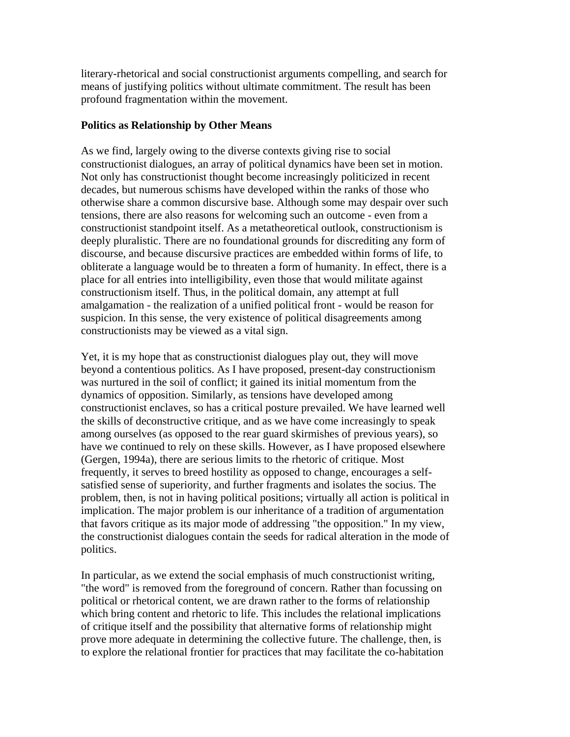literary-rhetorical and social constructionist arguments compelling, and search for means of justifying politics without ultimate commitment. The result has been profound fragmentation within the movement.

## **Politics as Relationship by Other Means**

As we find, largely owing to the diverse contexts giving rise to social constructionist dialogues, an array of political dynamics have been set in motion. Not only has constructionist thought become increasingly politicized in recent decades, but numerous schisms have developed within the ranks of those who otherwise share a common discursive base. Although some may despair over such tensions, there are also reasons for welcoming such an outcome - even from a constructionist standpoint itself. As a metatheoretical outlook, constructionism is deeply pluralistic. There are no foundational grounds for discrediting any form of discourse, and because discursive practices are embedded within forms of life, to obliterate a language would be to threaten a form of humanity. In effect, there is a place for all entries into intelligibility, even those that would militate against constructionism itself. Thus, in the political domain, any attempt at full amalgamation - the realization of a unified political front - would be reason for suspicion. In this sense, the very existence of political disagreements among constructionists may be viewed as a vital sign.

Yet, it is my hope that as constructionist dialogues play out, they will move beyond a contentious politics. As I have proposed, present-day constructionism was nurtured in the soil of conflict; it gained its initial momentum from the dynamics of opposition. Similarly, as tensions have developed among constructionist enclaves, so has a critical posture prevailed. We have learned well the skills of deconstructive critique, and as we have come increasingly to speak among ourselves (as opposed to the rear guard skirmishes of previous years), so have we continued to rely on these skills. However, as I have proposed elsewhere (Gergen, 1994a), there are serious limits to the rhetoric of critique. Most frequently, it serves to breed hostility as opposed to change, encourages a selfsatisfied sense of superiority, and further fragments and isolates the socius. The problem, then, is not in having political positions; virtually all action is political in implication. The major problem is our inheritance of a tradition of argumentation that favors critique as its major mode of addressing "the opposition." In my view, the constructionist dialogues contain the seeds for radical alteration in the mode of politics.

In particular, as we extend the social emphasis of much constructionist writing, "the word" is removed from the foreground of concern. Rather than focussing on political or rhetorical content, we are drawn rather to the forms of relationship which bring content and rhetoric to life. This includes the relational implications of critique itself and the possibility that alternative forms of relationship might prove more adequate in determining the collective future. The challenge, then, is to explore the relational frontier for practices that may facilitate the co-habitation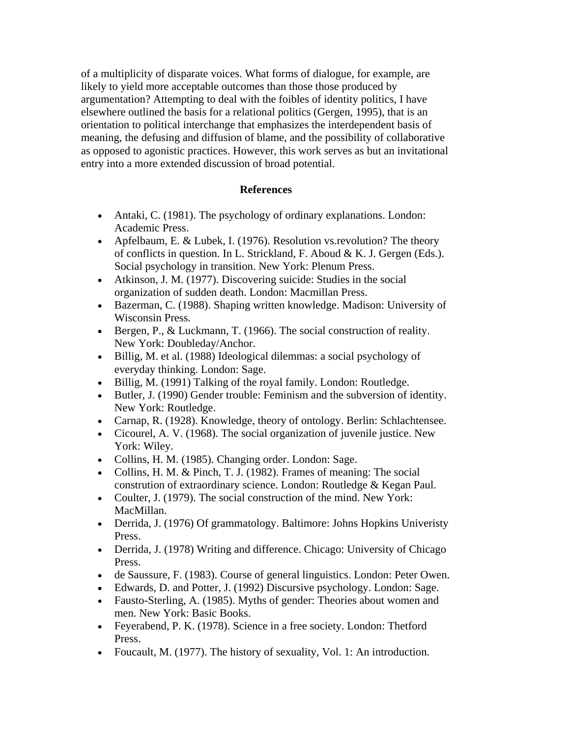of a multiplicity of disparate voices. What forms of dialogue, for example, are likely to yield more acceptable outcomes than those those produced by argumentation? Attempting to deal with the foibles of identity politics, I have elsewhere outlined the basis for a relational politics (Gergen, 1995), that is an orientation to political interchange that emphasizes the interdependent basis of meaning, the defusing and diffusion of blame, and the possibility of collaborative as opposed to agonistic practices. However, this work serves as but an invitational entry into a more extended discussion of broad potential.

## **References**

- Antaki, C. (1981). The psychology of ordinary explanations. London: Academic Press.
- Apfelbaum, E. & Lubek, I. (1976). Resolution vs. revolution? The theory of conflicts in question. In L. Strickland, F. Aboud & K. J. Gergen (Eds.). Social psychology in transition. New York: Plenum Press.
- Atkinson, J. M. (1977). Discovering suicide: Studies in the social organization of sudden death. London: Macmillan Press.
- Bazerman, C. (1988). Shaping written knowledge. Madison: University of Wisconsin Press.
- Bergen, P., & Luckmann, T. (1966). The social construction of reality. New York: Doubleday/Anchor.
- Billig, M. et al. (1988) Ideological dilemmas: a social psychology of everyday thinking. London: Sage.
- Billig, M. (1991) Talking of the royal family. London: Routledge.
- Butler, J. (1990) Gender trouble: Feminism and the subversion of identity. New York: Routledge.
- Carnap, R. (1928). Knowledge, theory of ontology. Berlin: Schlachtensee.
- Cicourel, A. V. (1968). The social organization of juvenile justice. New York: Wiley.
- Collins, H. M. (1985). Changing order. London: Sage.
- Collins, H. M. & Pinch, T. J. (1982). Frames of meaning: The social constrution of extraordinary science. London: Routledge & Kegan Paul.
- Coulter, J. (1979). The social construction of the mind. New York: MacMillan.
- Derrida, J. (1976) Of grammatology. Baltimore: Johns Hopkins Univeristy Press.
- Derrida, J. (1978) Writing and difference. Chicago: University of Chicago Press.
- de Saussure, F. (1983). Course of general linguistics. London: Peter Owen.
- Edwards, D. and Potter, J. (1992) Discursive psychology. London: Sage.
- Fausto-Sterling, A. (1985). Myths of gender: Theories about women and men. New York: Basic Books.
- Feyerabend, P. K. (1978). Science in a free society. London: Thetford Press.
- Foucault, M. (1977). The history of sexuality, Vol. 1: An introduction.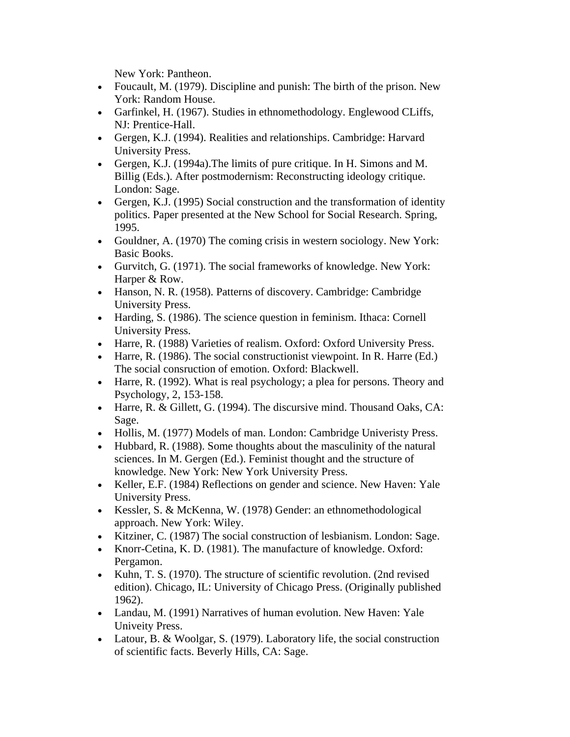New York: Pantheon.

- Foucault, M. (1979). Discipline and punish: The birth of the prison. New York: Random House.
- Garfinkel, H. (1967). Studies in ethnomethodology. Englewood CLiffs, NJ: Prentice-Hall.
- Gergen, K.J. (1994). Realities and relationships. Cambridge: Harvard University Press.
- Gergen, K.J. (1994a).The limits of pure critique. In H. Simons and M. Billig (Eds.). After postmodernism: Reconstructing ideology critique. London: Sage.
- Gergen, K.J. (1995) Social construction and the transformation of identity politics. Paper presented at the New School for Social Research. Spring, 1995.
- Gouldner, A. (1970) The coming crisis in western sociology. New York: Basic Books.
- Gurvitch, G. (1971). The social frameworks of knowledge. New York: Harper & Row.
- Hanson, N. R. (1958). Patterns of discovery. Cambridge: Cambridge University Press.
- Harding, S. (1986). The science question in feminism. Ithaca: Cornell University Press.
- Harre, R. (1988) Varieties of realism. Oxford: Oxford University Press.
- Harre, R. (1986). The social constructionist viewpoint. In R. Harre (Ed.) The social consruction of emotion. Oxford: Blackwell.
- Harre, R. (1992). What is real psychology; a plea for persons. Theory and Psychology, 2, 153-158.
- Harre, R. & Gillett, G. (1994). The discursive mind. Thousand Oaks, CA: Sage.
- Hollis, M. (1977) Models of man. London: Cambridge Univeristy Press.
- Hubbard, R. (1988). Some thoughts about the masculinity of the natural sciences. In M. Gergen (Ed.). Feminist thought and the structure of knowledge. New York: New York University Press.
- Keller, E.F. (1984) Reflections on gender and science. New Haven: Yale University Press.
- Kessler, S. & McKenna, W. (1978) Gender: an ethnomethodological approach. New York: Wiley.
- Kitziner, C. (1987) The social construction of lesbianism. London: Sage.
- Knorr-Cetina, K. D. (1981). The manufacture of knowledge. Oxford: Pergamon.
- Kuhn, T. S. (1970). The structure of scientific revolution. (2nd revised edition). Chicago, IL: University of Chicago Press. (Originally published 1962).
- Landau, M. (1991) Narratives of human evolution. New Haven: Yale Univeity Press.
- Latour, B. & Woolgar, S. (1979). Laboratory life, the social construction of scientific facts. Beverly Hills, CA: Sage.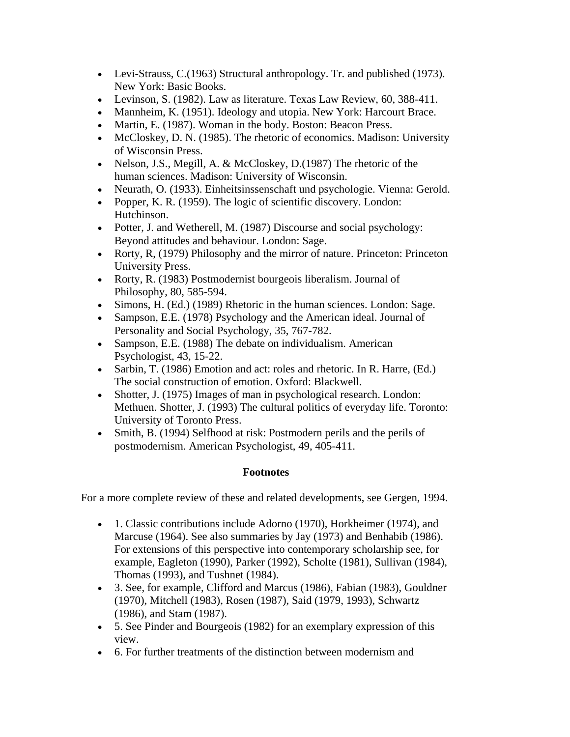- Levi-Strauss, C.(1963) Structural anthropology. Tr. and published (1973). New York: Basic Books.
- Levinson, S. (1982). Law as literature. Texas Law Review, 60, 388-411.
- Mannheim, K. (1951). Ideology and utopia. New York: Harcourt Brace.
- Martin, E. (1987). Woman in the body. Boston: Beacon Press.
- McCloskey, D. N. (1985). The rhetoric of economics. Madison: University of Wisconsin Press.
- Nelson, J.S., Megill, A. & McCloskey, D.(1987) The rhetoric of the human sciences. Madison: University of Wisconsin.
- Neurath, O. (1933). Einheitsinssenschaft und psychologie. Vienna: Gerold.
- Popper, K. R. (1959). The logic of scientific discovery. London: Hutchinson.
- Potter, J. and Wetherell, M. (1987) Discourse and social psychology: Beyond attitudes and behaviour. London: Sage.
- Rorty, R, (1979) Philosophy and the mirror of nature. Princeton: Princeton University Press.
- Rorty, R. (1983) Postmodernist bourgeois liberalism. Journal of Philosophy, 80, 585-594.
- Simons, H. (Ed.) (1989) Rhetoric in the human sciences. London: Sage.
- Sampson, E.E. (1978) Psychology and the American ideal. Journal of Personality and Social Psychology, 35, 767-782.
- Sampson, E.E. (1988) The debate on individualism. American Psychologist, 43, 15-22.
- Sarbin, T. (1986) Emotion and act: roles and rhetoric. In R. Harre, (Ed.) The social construction of emotion. Oxford: Blackwell.
- Shotter, J. (1975) Images of man in psychological research. London: Methuen. Shotter, J. (1993) The cultural politics of everyday life. Toronto: University of Toronto Press.
- Smith, B. (1994) Selfhood at risk: Postmodern perils and the perils of postmodernism. American Psychologist, 49, 405-411.

## **Footnotes**

For a more complete review of these and related developments, see Gergen, 1994.

- 1. Classic contributions include Adorno (1970), Horkheimer (1974), and Marcuse (1964). See also summaries by Jay (1973) and Benhabib (1986). For extensions of this perspective into contemporary scholarship see, for example, Eagleton (1990), Parker (1992), Scholte (1981), Sullivan (1984), Thomas (1993), and Tushnet (1984).
- 3. See, for example, Clifford and Marcus (1986), Fabian (1983), Gouldner (1970), Mitchell (1983), Rosen (1987), Said (1979, 1993), Schwartz (1986), and Stam (1987).
- 5. See Pinder and Bourgeois (1982) for an exemplary expression of this view.
- 6. For further treatments of the distinction between modernism and